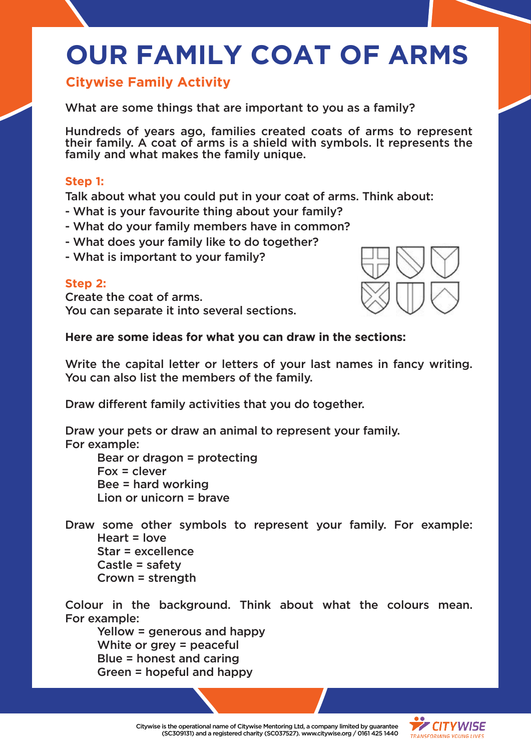# **OUR FAMILY COAT OF ARMS**

## **Citywise Family Activity**

What are some things that are important to you as a family?

Hundreds of years ago, families created coats of arms to represent their family. A coat of arms is a shield with symbols. It represents the family and what makes the family unique.

#### **Step 1:**

Talk about what you could put in your coat of arms. Think about:

- What is your favourite thing about your family?
- What do your family members have in common?
- What does your family like to do together?
- What is important to your family?

### **Step 2:**

Create the coat of arms. You can separate it into several sections.



#### **Here are some ideas for what you can draw in the sections:**

Write the capital letter or letters of your last names in fancy writing. You can also list the members of the family.

Draw different family activities that you do together.

Draw your pets or draw an animal to represent your family. For example: Bear or dragon = protecting

Fox = clever Bee = hard working Lion or unicorn = brave

Draw some other symbols to represent your family. For example: Heart = love Star = excellence Castle = safety Crown = strength

Colour in the background. Think about what the colours mean. For example:

Yellow = generous and happy White or grey = peaceful Blue = honest and caring Green = hopeful and happy